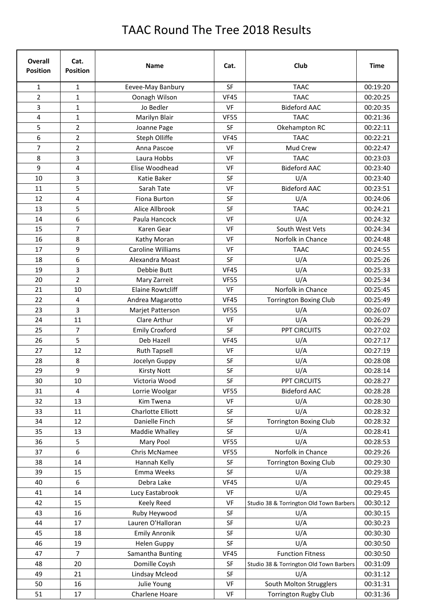## TAAC Round The Tree 2018 Results

| Overall<br><b>Position</b> | Cat.<br><b>Position</b> | <b>Name</b>             | Cat.        | Club                                    | <b>Time</b> |
|----------------------------|-------------------------|-------------------------|-------------|-----------------------------------------|-------------|
| 1                          | 1                       | Eevee-May Banbury       | <b>SF</b>   | <b>TAAC</b>                             | 00:19:20    |
| $\overline{2}$             | $\mathbf{1}$            | Oonagh Wilson           | <b>VF45</b> | <b>TAAC</b>                             | 00:20:25    |
| 3                          | 1                       | Jo Bedler               | VF          | <b>Bideford AAC</b>                     | 00:20:35    |
| 4                          | $\mathbf{1}$            | Marilyn Blair           | <b>VF55</b> | <b>TAAC</b>                             | 00:21:36    |
| 5                          | $\overline{2}$          | Joanne Page             | <b>SF</b>   | Okehampton RC                           | 00:22:11    |
| 6                          | $\overline{2}$          | Steph Olliffe           | <b>VF45</b> | <b>TAAC</b>                             | 00:22:21    |
| 7                          | $\overline{2}$          | Anna Pascoe             | VF          | Mud Crew                                | 00:22:47    |
| 8                          | 3                       | Laura Hobbs             | VF          | <b>TAAC</b>                             | 00:23:03    |
| 9                          | 4                       | Elise Woodhead          | VF          | <b>Bideford AAC</b>                     | 00:23:40    |
| 10                         | 3                       | Katie Baker             | <b>SF</b>   | U/A                                     | 00:23:40    |
| 11                         | 5                       | Sarah Tate              | VF          | <b>Bideford AAC</b>                     | 00:23:51    |
| 12                         | 4                       | Fiona Burton            | SF          | U/A                                     | 00:24:06    |
| 13                         | 5                       | Alice Allbrook          | SF          | <b>TAAC</b>                             | 00:24:21    |
| 14                         | 6                       | Paula Hancock           | VF          | U/A                                     | 00:24:32    |
| 15                         | $\overline{7}$          | Karen Gear              | VF          | South West Vets                         | 00:24:34    |
| 16                         | 8                       | Kathy Moran             | VF          | Norfolk in Chance                       | 00:24:48    |
| 17                         | 9                       | Caroline Williams       | VF          | <b>TAAC</b>                             | 00:24:55    |
| 18                         | 6                       | Alexandra Moast         | SF          | U/A                                     | 00:25:26    |
| 19                         | 3                       | Debbie Butt             | <b>VF45</b> | U/A                                     | 00:25:33    |
| 20                         | $\overline{2}$          | Mary Zarreit            | <b>VF55</b> | U/A                                     | 00:25:34    |
| 21                         | 10                      | <b>Elaine Rowtcliff</b> | VF          | Norfolk in Chance                       | 00:25:45    |
| 22                         | 4                       | Andrea Magarotto        | <b>VF45</b> | <b>Torrington Boxing Club</b>           | 00:25:49    |
| 23                         | 3                       | Marjet Patterson        | <b>VF55</b> | U/A                                     | 00:26:07    |
| 24                         | 11                      | Clare Arthur            | VF          | U/A                                     | 00:26:29    |
| 25                         | $\overline{7}$          | <b>Emily Croxford</b>   | <b>SF</b>   | <b>PPT CIRCUITS</b>                     | 00:27:02    |
| 26                         | 5                       | Deb Hazell              | <b>VF45</b> | U/A                                     | 00:27:17    |
| 27                         | 12                      | <b>Ruth Tapsell</b>     | VF          | U/A                                     | 00:27:19    |
| 28                         | 8                       | Jocelyn Guppy           | SF          | U/A                                     | 00:28:08    |
| 29                         | 9                       | <b>Kirsty Nott</b>      | SF          | U/A                                     | 00:28:14    |
| 30                         | 10                      | Victoria Wood           | SF          | PPT CIRCUITS                            | 00:28:27    |
| 31                         | 4                       | Lorrie Woolgar          | <b>VF55</b> | <b>Bideford AAC</b>                     | 00:28:28    |
| 32                         | 13                      | Kim Twena               | VF          | U/A                                     | 00:28:30    |
| 33                         | 11                      | Charlotte Elliott       | <b>SF</b>   | U/A                                     | 00:28:32    |
| 34                         | 12                      | Danielle Finch          | SF          | <b>Torrington Boxing Club</b>           | 00:28:32    |
| 35                         | 13                      | Maddie Whalley          | SF          | U/A                                     | 00:28:41    |
| 36                         | 5                       | Mary Pool               | <b>VF55</b> | U/A                                     | 00:28:53    |
| 37                         | 6                       | Chris McNamee           | <b>VF55</b> | Norfolk in Chance                       | 00:29:26    |
| 38                         | 14                      | Hannah Kelly            | SF          | <b>Torrington Boxing Club</b>           | 00:29:30    |
| 39                         | 15                      | Emma Weeks              | SF          | U/A                                     | 00:29:38    |
| 40                         | 6                       | Debra Lake              | <b>VF45</b> | U/A                                     | 00:29:45    |
| 41                         | 14                      | Lucy Eastabrook         | VF          | U/A                                     | 00:29:45    |
| 42                         | 15                      | Keely Reed              | VF          | Studio 38 & Torrington Old Town Barbers | 00:30:12    |
| 43                         | 16                      | Ruby Heywood            | SF          | U/A                                     | 00:30:15    |
| 44                         | 17                      | Lauren O'Halloran       | SF          | U/A                                     | 00:30:23    |
| 45                         | 18                      | <b>Emily Anronik</b>    | SF          | U/A                                     | 00:30:30    |
| 46                         | 19                      | <b>Helen Guppy</b>      | SF          | U/A                                     | 00:30:50    |
| 47                         | $\overline{7}$          | Samantha Bunting        | <b>VF45</b> | <b>Function Fitness</b>                 | 00:30:50    |
| 48                         | 20                      | Domille Coysh           | SF          | Studio 38 & Torrington Old Town Barbers | 00:31:09    |
| 49                         | 21                      | <b>Lindsay Mcleod</b>   | SF          | U/A                                     | 00:31:12    |
| 50                         | 16                      | Julie Young             | VF          | South Molton Strugglers                 | 00:31:31    |
| 51                         | 17                      | Charlene Hoare          | VF          | <b>Torrington Rugby Club</b>            | 00:31:36    |